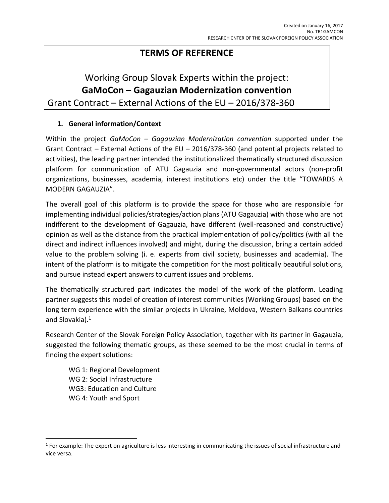## **TERMS OF REFERENCE**

# Working Group Slovak Experts within the project: **GaMoCon – Gagauzian Modernization convention** Grant Contract – External Actions of the EU – 2016/378-360

#### **1. General information/Context**

Within the project *GaMoCon – Gagauzian Modernization convention* supported under the Grant Contract – External Actions of the EU – 2016/378-360 (and potential projects related to activities), the leading partner intended the institutionalized thematically structured discussion platform for communication of ATU Gagauzia and non-governmental actors (non-profit organizations, businesses, academia, interest institutions etc) under the title "TOWARDS A MODERN GAGAUZIA".

The overall goal of this platform is to provide the space for those who are responsible for implementing individual policies/strategies/action plans (ATU Gagauzia) with those who are not indifferent to the development of Gagauzia, have different (well-reasoned and constructive) opinion as well as the distance from the practical implementation of policy/politics (with all the direct and indirect influences involved) and might, during the discussion, bring a certain added value to the problem solving (i. e. experts from civil society, businesses and academia). The intent of the platform is to mitigate the competition for the most politically beautiful solutions, and pursue instead expert answers to current issues and problems.

The thematically structured part indicates the model of the work of the platform. Leading partner suggests this model of creation of interest communities (Working Groups) based on the long term experience with the similar projects in Ukraine, Moldova, Western Balkans countries and Slovakia).<sup>1</sup>

Research Center of the Slovak Foreign Policy Association, together with its partner in Gagauzia, suggested the following thematic groups, as these seemed to be the most crucial in terms of finding the expert solutions:

WG 1: Regional Development WG 2: Social Infrastructure WG3: Education and Culture WG 4: Youth and Sport

l

 $1$  For example: The expert on agriculture is less interesting in communicating the issues of social infrastructure and vice versa.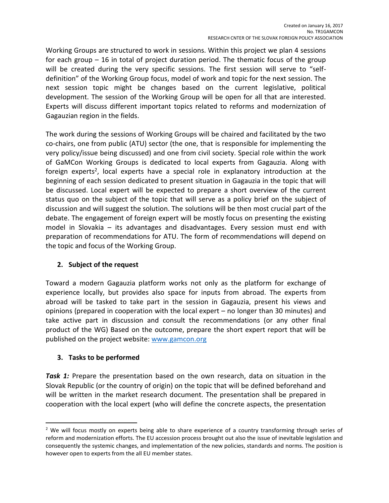Working Groups are structured to work in sessions. Within this project we plan 4 sessions for each group – 16 in total of project duration period. The thematic focus of the group will be created during the very specific sessions. The first session will serve to "selfdefinition" of the Working Group focus, model of work and topic for the next session. The next session topic might be changes based on the current legislative, political development. The session of the Working Group will be open for all that are interested. Experts will discuss different important topics related to reforms and modernization of Gagauzian region in the fields.

The work during the sessions of Working Groups will be chaired and facilitated by the two co-chairs, one from public (ATU) sector (the one, that is responsible for implementing the very policy/issue being discussed) and one from civil society. Special role within the work of GaMCon Working Groups is dedicated to local experts from Gagauzia. Along with foreign experts<sup>2</sup>, local experts have a special role in explanatory introduction at the beginning of each session dedicated to present situation in Gagauzia in the topic that will be discussed. Local expert will be expected to prepare a short overview of the current status quo on the subject of the topic that will serve as a policy brief on the subject of discussion and will suggest the solution. The solutions will be then most crucial part of the debate. The engagement of foreign expert will be mostly focus on presenting the existing model in Slovakia – its advantages and disadvantages. Every session must end with preparation of recommendations for ATU. The form of recommendations will depend on the topic and focus of the Working Group.

#### **2. Subject of the request**

Toward a modern Gagauzia platform works not only as the platform for exchange of experience locally, but provides also space for inputs from abroad. The experts from abroad will be tasked to take part in the session in Gagauzia, present his views and opinions (prepared in cooperation with the local expert – no longer than 30 minutes) and take active part in discussion and consult the recommendations (or any other final product of the WG) Based on the outcome, prepare the short expert report that will be published on the project website: [www.gamcon.org](http://www.gamcon.org/)

## **3. Tasks to be performed**

 $\overline{a}$ 

**Task 1:** Prepare the presentation based on the own research, data on situation in the Slovak Republic (or the country of origin) on the topic that will be defined beforehand and will be written in the market research document. The presentation shall be prepared in cooperation with the local expert (who will define the concrete aspects, the presentation

<sup>&</sup>lt;sup>2</sup> We will focus mostly on experts being able to share experience of a country transforming through series of reform and modernization efforts. The EU accession process brought out also the issue of inevitable legislation and consequently the systemic changes, and implementation of the new policies, standards and norms. The position is however open to experts from the all EU member states.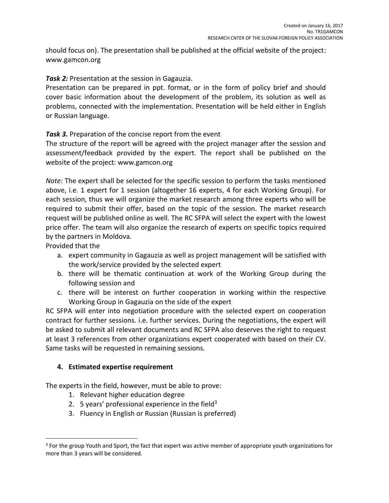should focus on). The presentation shall be published at the official website of the project: www.gamcon.org

**Task 2:** Presentation at the session in Gagauzia.

Presentation can be prepared in ppt. format, or in the form of policy brief and should cover basic information about the development of the problem, its solution as well as problems, connected with the implementation. Presentation will be held either in English or Russian language.

*Task 3.* Preparation of the concise report from the event

The structure of the report will be agreed with the project manager after the session and assessment/feedback provided by the expert. The report shall be published on the website of the project: www.gamcon.org

*Note:* The expert shall be selected for the specific session to perform the tasks mentioned above, i.e. 1 expert for 1 session (altogether 16 experts, 4 for each Working Group). For each session, thus we will organize the market research among three experts who will be required to submit their offer, based on the topic of the session. The market research request will be published online as well. The RC SFPA will select the expert with the lowest price offer. The team will also organize the research of experts on specific topics required by the partners in Moldova.

Provided that the

- a. expert community in Gagauzia as well as project management will be satisfied with the work/service provided by the selected expert
- b. there will be thematic continuation at work of the Working Group during the following session and
- c. there will be interest on further cooperation in working within the respective Working Group in Gagauzia on the side of the expert

RC SFPA will enter into negotiation procedure with the selected expert on cooperation contract for further sessions. i.e. further services. During the negotiations, the expert will be asked to submit all relevant documents and RC SFPA also deserves the right to request at least 3 references from other organizations expert cooperated with based on their CV. Same tasks will be requested in remaining sessions.

## **4. Estimated expertise requirement**

The experts in the field, however, must be able to prove:

- 1. Relevant higher education degree
- 2. 5 years' professional experience in the field<sup>3</sup>
- 3. Fluency in English or Russian (Russian is preferred)

l <sup>3</sup> For the group Youth and Sport, the fact that expert was active member of appropriate youth organizations for more than 3 years will be considered.